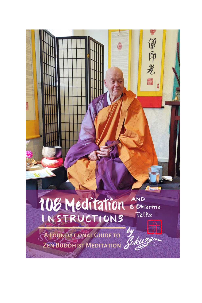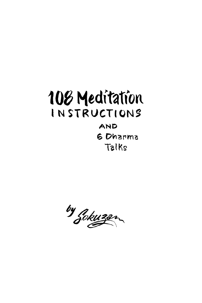# 108 Meditation INSTRUCTIONS

# AND 6 Dharma Talks

by Jokuzan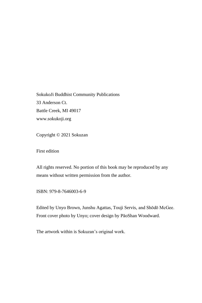SokukoJi Buddhist Community Publications 33 Anderson Ct. Battle Creek, MI 49017 www.sokukoji.org

Copyright © 2021 Sokuzan

First edition

All rights reserved. No portion of this book may be reproduced by any means without written permission from the author.

ISBN: 979-8-7646003-6-9

Edited by Unyo Brown, Junshu Agattas, Touji Servis, and Shōdō McGee. Front cover photo by Unyo; cover design by PăoShan Woodward.

The artwork within is Sokuzan's original work.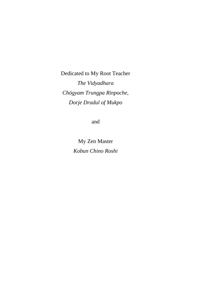Dedicated to My Root Teacher *The Vidyadhara Chögyam Trungpa Rinpoche, Dorje Dradul of Mukpo*

and

My Zen Master *Kobun Chino Roshi*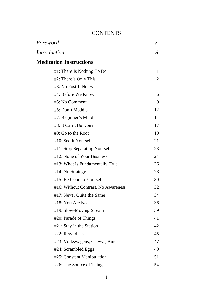### **CONTENTS**

| Foreword                            | ν              |
|-------------------------------------|----------------|
| <b>Introduction</b>                 | νi             |
| <b>Meditation Instructions</b>      |                |
| #1: There Is Nothing To Do          | 1              |
| #2: There's Only This               | $\overline{c}$ |
| #3: No Post-It Notes                | $\overline{4}$ |
| #4: Before We Know                  | 6              |
| #5: No Comment                      | 9              |
| #6: Don't Meddle                    | 12             |
| #7: Beginner's Mind                 | 14             |
| #8: It Can't Be Done                | 17             |
| $#9$ : Go to the Root               | 19             |
| #10: See It Yourself                | 21             |
| #11: Stop Separating Yourself       | 23             |
| #12: None of Your Business          | 24             |
| #13: What Is Fundamentally True     | 26             |
| #14: No Strategy                    | 28             |
| #15: Be Good to Yourself            | 30             |
| #16: Without Contrast, No Awareness | 32             |
| #17: Never Quite the Same           | 34             |
| #18: You Are Not                    | 36             |
| #19: Slow-Moving Stream             | 39             |
| #20: Parade of Things               | 41             |
| #21: Stay in the Station            | 42             |
| #22: Regardless                     | 45             |
| #23: Volkswagens, Chevys, Buicks    | 47             |
| #24: Scrambled Eggs                 | 49             |
| #25: Constant Manipulation          | 51             |
| #26: The Source of Things           | 54             |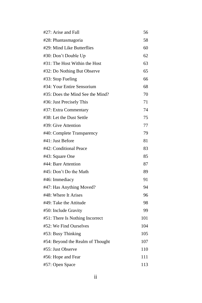| #27: Arise and Fall              | 56  |
|----------------------------------|-----|
| #28: Phantasmagoria              | 58  |
| #29: Mind Like Butterflies       | 60  |
| #30: Don't Double Up             | 62  |
| #31: The Host Within the Host    | 63  |
| #32: Do Nothing But Observe      | 65  |
| #33: Stop Fueling                | 66  |
| #34: Your Entire Sensorium       | 68  |
| #35: Does the Mind See the Mind? | 70  |
| #36: Just Precisely This         | 71  |
| #37: Extra Commentary            | 74  |
| #38: Let the Dust Settle         | 75  |
| #39: Give Attention              | 77  |
| #40: Complete Transparency       | 79  |
| #41: Just Before                 | 81  |
| #42: Conditional Peace           | 83  |
| #43: Square One                  | 85  |
| #44: Bare Attention              | 87  |
| #45: Don't Do the Math           | 89  |
| #46: Immediacy                   | 91  |
| #47: Has Anything Moved?         | 94  |
| #48: Where It Arises             | 96  |
| #49: Take the Attitude           | 98  |
| #50: Include Gravity             | 99  |
| #51: There Is Nothing Incorrect  | 101 |
| #52: We Find Ourselves           | 104 |
| #53: Busy Thinking               | 105 |
| #54: Beyond the Realm of Thought | 107 |
| #55: Just Observe                | 110 |
| #56: Hope and Fear               | 111 |
| #57: Open Space                  | 113 |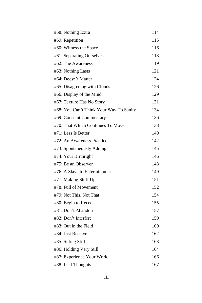| #58: Nothing Extra                      | 114 |
|-----------------------------------------|-----|
| #59: Repetition                         | 115 |
| #60: Witness the Space                  | 116 |
| #61: Separating Ourselves               | 118 |
| #62: The Awareness                      | 119 |
| #63: Nothing Lasts                      | 121 |
| #64: Doesn't Matter                     | 124 |
| #65: Disagreeing with Clouds            | 126 |
| #66: Display of the Mind                | 129 |
| #67: Texture Has No Story               | 131 |
| #68: You Can't Think Your Way To Sanity | 134 |
| #69: Constant Commentary                | 136 |
| #70: That Which Continues To Move       | 138 |
| #71: Less Is Better                     | 140 |
| #72: An Awareness Practice              | 142 |
| #73: Spontaneously Adding               | 145 |
| #74: Your Birthright                    | 146 |
| #75: Be an Observer                     | 148 |
| #76: A Slave to Entertainment           | 149 |
| #77: Making Stuff Up                    | 151 |
| #78: Full of Movement                   | 152 |
| #79: Not This, Not That                 | 154 |
| #80: Begin to Recede                    | 155 |
| #81: Don't Abandon                      | 157 |
| #82: Don't Interfere                    | 159 |
| #83: Out in the Field                   | 160 |
| #84: Just Receive                       | 162 |
| #85: Sitting Still                      | 163 |
| #86: Holding Very Still                 | 164 |
| #87: Experience Your World              | 166 |
| #88: Leaf Thoughts                      | 167 |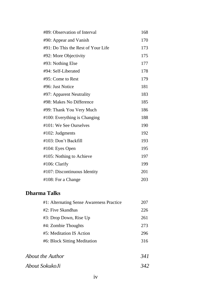| #89: Observation of Interval       | 168 |
|------------------------------------|-----|
| #90: Appear and Vanish             | 170 |
| #91: Do This the Rest of Your Life | 173 |
| #92: More Objectivity              | 175 |
| #93: Nothing Else                  | 177 |
| #94: Self-Liberated                | 178 |
| #95: Come to Rest                  | 179 |
| #96: Just Notice                   | 181 |
| #97: Apparent Neutrality           | 183 |
| #98: Makes No Difference           | 185 |
| #99: Thank You Very Much           | 186 |
| #100: Everything is Changing       | 188 |
| #101: We See Ourselves             | 190 |
| #102: Judgments                    | 192 |
| #103: Don't Backfill               | 193 |
| #104: Eyes Open                    | 195 |
| #105: Nothing to Achieve           | 197 |
| #106: Clarify                      | 199 |
| #107: Discontinuous Identity       | 201 |
| #108: For a Change                 | 203 |

## **Dharma Talks**

| #1: Alternating Sense Awareness Practice | 207  |
|------------------------------------------|------|
| #2: Five Skandhas                        | 226  |
| #3: Drop Down, Rise Up                   | 261  |
| #4: Zombie Thoughts                      | 273  |
| #5: Meditation IS Action                 | 296  |
| #6: Block Sitting Meditation             | 316  |
|                                          |      |
| About the Author                         | 34 I |
|                                          |      |

*About SokukoJi 342*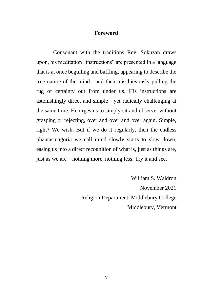#### **Foreword**

Consonant with the traditions Rev. Sokuzan draws upon, his meditation "instructions" are presented in a language that is at once beguiling and baffling, appearing to describe the true nature of the mind—and then mischievously pulling the rug of certainty out from under us. His instructions are astonishingly direct and simple—yet radically challenging at the same time. He urges us to simply sit and observe, without grasping or rejecting, over and over and over again. Simple, right? We wish. But if we do it regularly, then the endless phantasmagoria we call mind slowly starts to slow down, easing us into a direct recognition of what is, just as things are, just as we are—nothing more, nothing less. Try it and see.

> William S. Waldron November 2021 Religion Department, Middlebury College Middlebury, Vermont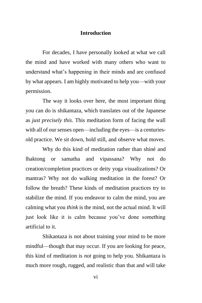#### **Introduction**

For decades, I have personally looked at what we call the mind and have worked with many others who want to understand what's happening in their minds and are confused by what appears. I am highly motivated to help you—with your permission.

The way it looks over here, the most important thing you can do is shikantaza, which translates out of the Japanese as *just precisely this*. This meditation form of facing the wall with all of our senses open—including the eyes—is a centuriesold practice. We sit down, hold still, and observe what moves.

Why do this kind of meditation rather than shiné and lhaktong or samatha and vipassana? Why not do creation/completion practices or deity yoga visualizations? Or mantras? Why not do walking meditation in the forest? Or follow the breath? These kinds of meditation practices try to stabilize the mind. If you endeavor to calm the mind, you are calming what you *think* is the mind, not the actual mind. It will just look like it is calm because you've done something artificial to it.

Shikantaza is not about training your mind to be more mindful—though that may occur. If you are looking for peace, this kind of meditation is *not* going to help you. Shikantaza is much more rough, rugged, and realistic than that and will take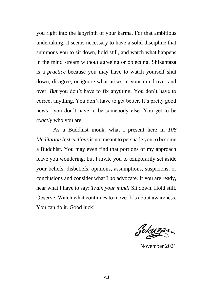you right into the labyrinth of your karma. For that ambitious undertaking, it seems necessary to have a solid discipline that summons you to sit down, hold still, and watch what happens in the mind stream without agreeing or objecting. Shikantaza is a *practice* because you may have to watch yourself shut down, disagree, or ignore what arises in your mind over and over. *But* you don't have to fix anything. You don't have to correct anything. You don't have to get better. It's pretty good news—you don't have to be somebody else. You get to be *exactly* who you are.

As a Buddhist monk, what I present here in *108 Meditation Instructions* is not meant to persuade you to become a Buddhist. You may even find that portions of my approach leave you wondering, but I invite you to temporarily set aside your beliefs, disbeliefs, opinions, assumptions, suspicions, or conclusions and consider what I *do* advocate. If you are ready, hear what I have to say: *Train your mind!* Sit down. Hold still. Observe. Watch what continues to move. It's about awareness. You can do it. Good luck!

Sokuzan

November 2021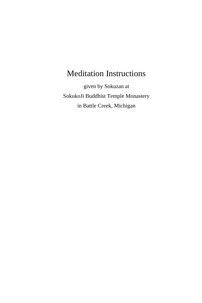given by Sokuzan at SokukoJi Buddhist Temple Monastery in Battle Creek, Michigan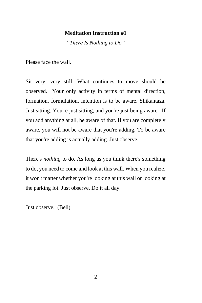*"There Is Nothing to Do"*

Please face the wall.

Sit very, very still. What continues to move should be observed. Your only activity in terms of mental direction, formation, formulation, intention is to be aware. Shikantaza. Just sitting. You're just sitting, and you're just being aware. If you add anything at all, be aware of that. If you are completely aware, you will not be aware that you're adding. To be aware that you're adding is actually adding. Just observe.

There's *nothing* to do. As long as you think there's something to do, you need to come and look at this wall. When you realize, it won't matter whether you're looking at this wall or looking at the parking lot. Just observe. Do it all day.

Just observe. (Bell)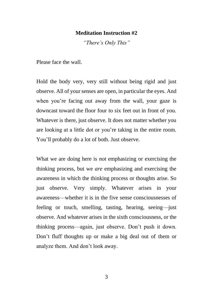*"There's Only This"*

Please face the wall.

Hold the body very, very still without being rigid and just observe. All of your senses are open, in particular the eyes. And when you're facing out away from the wall, your gaze is downcast toward the floor four to six feet out in front of you. Whatever is there, just observe. It does not matter whether you are looking at a little dot or you're taking in the entire room. You'll probably do a lot of both. Just observe.

What we are doing here is *not* emphasizing or exercising the thinking process, but we *are* emphasizing and exercising the awareness in which the thinking process or thoughts arise. So just observe. Very simply. Whatever arises in your awareness—whether it is in the five sense consciousnesses of feeling or touch, smelling, tasting, hearing, seeing—just observe. And whatever arises in the sixth consciousness, or the thinking process—again, just observe. Don't push it down. Don't fluff thoughts up or make a big deal out of them or analyze them. And don't look away.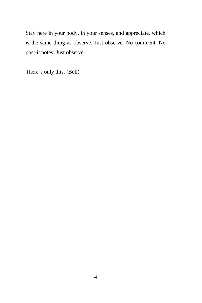Stay here in your body, in your senses, and appreciate, which is the same thing as observe. Just observe. No comment. No post-it notes. Just observe.

There's only this. (Bell)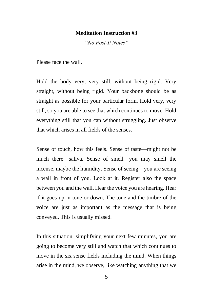*"No Post-It Notes"*

Please face the wall.

Hold the body very, very still, without being rigid. Very straight, without being rigid. Your backbone should be as straight as possible for your particular form. Hold very, very still, so you are able to see that which continues to move. Hold everything still that you can without struggling. Just observe that which arises in all fields of the senses.

Sense of touch, how this feels. Sense of taste—might not be much there—saliva. Sense of smell—you may smell the incense, maybe the humidity. Sense of seeing—you are seeing a wall in front of you. Look at it. Register also the space between you and the wall. Hear the voice you are hearing. Hear if it goes up in tone or down. The tone and the timbre of the voice are just as important as the message that is being conveyed. This is usually missed.

In this situation, simplifying your next few minutes, you are going to become very still and watch that which continues to move in the six sense fields including the mind. When things arise in the mind, we observe, like watching anything that we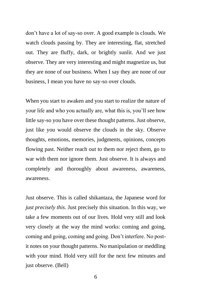don't have a lot of say-so over. A good example is clouds. We watch clouds passing by. They are interesting, flat, stretched out. They are fluffy, dark, or brightly sunlit. And we just observe. They are very interesting and might magnetize us, but they are none of our business. When I say they are none of our business, I mean you have no say-so over clouds.

When you start to awaken and you start to realize the nature of your life and who you actually are, what this is, you'll see how little say-so you have over these thought patterns. Just observe, just like you would observe the clouds in the sky. Observe thoughts, emotions, memories, judgments, opinions, concepts flowing past. Neither reach out to them nor reject them, go to war with them nor ignore them. Just observe. It is always and completely and thoroughly about awareness, awareness, awareness.

Just observe. This is called shikantaza, the Japanese word for *just precisely this*. Just precisely this situation. In this way, we take a few moments out of our lives. Hold very still and look very closely at the way the mind works: coming and going, coming and going, coming and going. Don't interfere. No postit notes on your thought patterns. No manipulation or meddling with your mind. Hold very still for the next few minutes and just observe. (Bell)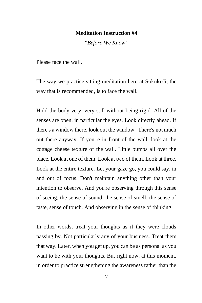*"Before We Know"*

Please face the wall.

The way we practice sitting meditation here at SokukoJi, the way that is recommended, is to face the wall.

Hold the body very, very still without being rigid. All of the senses are open, in particular the eyes. Look directly ahead. If there's a window there, look out the window. There's not much out there anyway. If you're in front of the wall, look at the cottage cheese texture of the wall. Little bumps all over the place. Look at one of them. Look at two of them. Look at three. Look at the entire texture. Let your gaze go, you could say, in and out of focus. Don't maintain anything other than your intention to observe. And you're observing through this sense of seeing, the sense of sound, the sense of smell, the sense of taste, sense of touch. And observing in the sense of thinking.

In other words, treat your thoughts as if they were clouds passing by. Not particularly any of your business. Treat them that way. Later, when you get up, you can be as personal as you want to be with your thoughts. But right now, at this moment, in order to practice strengthening the awareness rather than the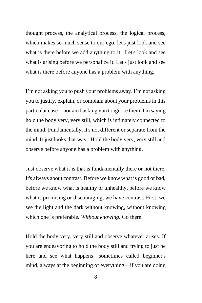thought process, the analytical process, the logical process, which makes so much sense to our ego, let's just look and see what is there before we add anything to it. Let's look and see what is arising before we personalize it. Let's just look and see what is there before anyone has a problem with anything.

I'm not asking you to push your problems away. I'm not asking you to justify, explain, or complain about your problems in this particular case—nor am I asking you to ignore them. I'm saying hold the body very, very still, which is intimately connected to the mind. Fundamentally, it's not different or separate from the mind. It just looks that way. Hold the body very, very still and observe before anyone has a problem with anything.

Just observe what it is that is fundamentally there or not there. It's always about contrast. Before we know what is good or bad, before we know what is healthy or unhealthy, before we know what is promising or discouraging, we have contrast. First, we see the light and the dark without knowing, without knowing which one is preferable. *Without knowing*. Go there.

Hold the body very, very still and observe whatever arises. If you are endeavoring to hold the body still and trying to just be here and see what happens—sometimes called beginner's mind, always at the beginning of everything—if you are doing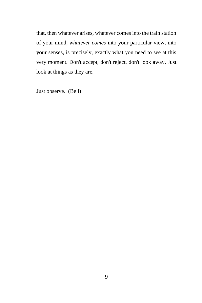that, then whatever arises, whatever comes into the train station of your mind, *whatever comes* into your particular view, into your senses, is precisely, exactly what you need to see at this very moment. Don't accept, don't reject, don't look away. Just look at things as they are.

Just observe. (Bell)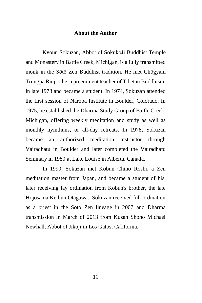#### **About the Author**

Kyoun Sokuzan, Abbot of SokukoJi Buddhist Temple and Monastery in Battle Creek, Michigan, is a fully transmitted monk in the Sōtō Zen Buddhist tradition. He met Chögyam Trungpa Rinpoche, a preeminent teacher of Tibetan Buddhism, in late 1973 and became a student. In 1974, Sokuzan attended the first session of Naropa Institute in Boulder, Colorado. In 1975, he established the Dharma Study Group of Battle Creek, Michigan, offering weekly meditation and study as well as monthly nyinthuns, or all-day retreats. In 1978, Sokuzan became an authorized meditation instructor through Vajradhatu in Boulder and later completed the Vajradhatu Seminary in 1980 at Lake Louise in Alberta, Canada.

In 1990, Sokuzan met Kobun Chino Roshi, a Zen meditation master from Japan, and became a student of his, later receiving lay ordination from Kobun's brother, the late Hojosama Keibun Otagawa. Sokuzan received full ordination as a priest in the Soto Zen lineage in 2007 and Dharma transmission in March of 2013 from Kuzan Shoho Michael Newhall, Abbot of Jikoji in Los Gatos, California.